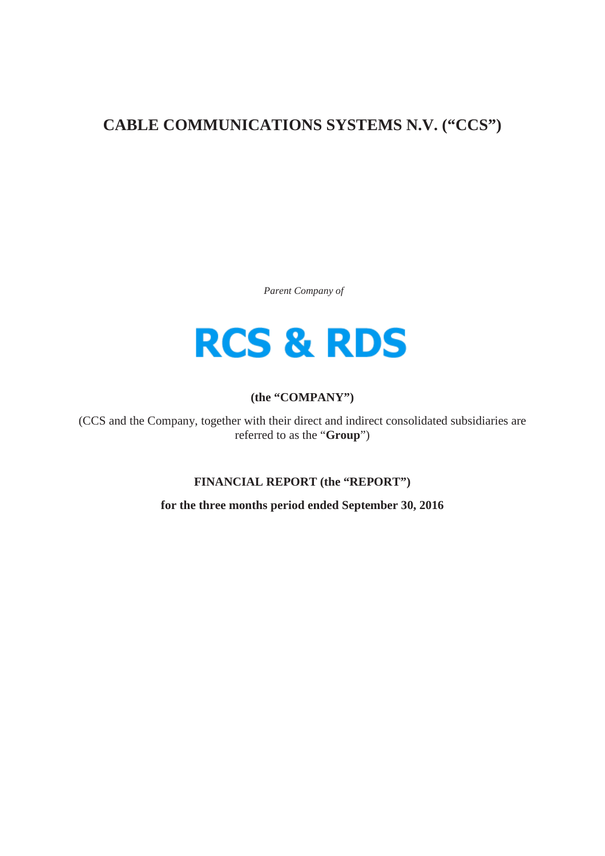# **CABLE COMMUNICATIONS SYSTEMS N.V. ("CCS")**

*Parent Company of*



## **(the "COMPANY")**

(CCS and the Company, together with their direct and indirect consolidated subsidiaries are referred to as the "**Group**")

**FINANCIAL REPORT (the "REPORT")**

**for the three months period ended September 30, 2016**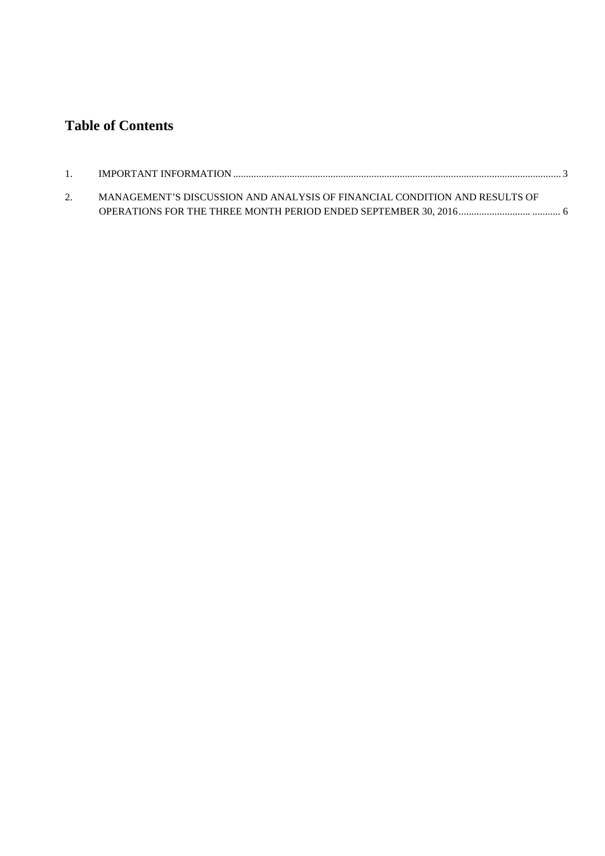## **Table of Contents**

| MANAGEMENT'S DISCUSSION AND ANALYSIS OF FINANCIAL CONDITION AND RESULTS OF |  |
|----------------------------------------------------------------------------|--|
|                                                                            |  |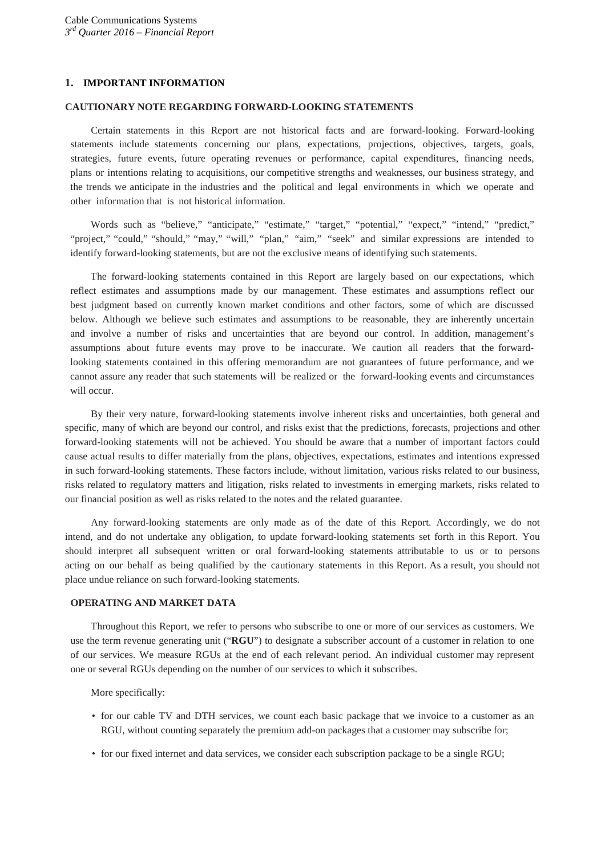## <span id="page-2-0"></span>**1. IMPORTANT INFORMATION**

## **CAUTIONARY NOTE REGARDING FORWARD-LOOKING STATEMENTS**

Certain statements in this Report are not historical facts and are forward-looking. Forward-looking statements include statements concerning our plans, expectations, projections, objectives, targets, goals, strategies, future events, future operating revenues or performance, capital expenditures, financing needs, plans or intentions relating to acquisitions, our competitive strengths and weaknesses, our business strategy, and the trends we anticipate in the industries and the political and legal environments in which we operate and other information that is not historical information.

Words such as "believe," "anticipate," "estimate," "target," "potential," "expect," "intend," "predict," "project," "could," "should," "may," "will," "plan," "aim," "seek" and similar expressions are intended to identify forward-looking statements, but are not the exclusive means of identifying such statements.

The forward-looking statements contained in this Report are largely based on our expectations, which reflect estimates and assumptions made by our management. These estimates and assumptions reflect our best judgment based on currently known market conditions and other factors, some of which are discussed below. Although we believe such estimates and assumptions to be reasonable, they are inherently uncertain and involve a number of risks and uncertainties that are beyond our control. In addition, management's assumptions about future events may prove to be inaccurate. We caution all readers that the forwardlooking statements contained in this offering memorandum are not guarantees of future performance, and we cannot assure any reader that such statements will be realized or the forward-looking events and circumstances will occur.

By their very nature, forward-looking statements involve inherent risks and uncertainties, both general and specific, many of which are beyond our control, and risks exist that the predictions, forecasts, projections and other forward-looking statements will not be achieved. You should be aware that a number of important factors could cause actual results to differ materially from the plans, objectives, expectations, estimates and intentions expressed in such forward-looking statements. These factors include, without limitation, various risks related to our business, risks related to regulatory matters and litigation, risks related to investments in emerging markets, risks related to our financial position as well as risks related to the notes and the related guarantee.

Any forward-looking statements are only made as of the date of this Report. Accordingly, we do not intend, and do not undertake any obligation, to update forward-looking statements set forth in this Report. You should interpret all subsequent written or oral forward-looking statements attributable to us or to persons acting on our behalf as being qualified by the cautionary statements in this Report. As a result, you should not place undue reliance on such forward-looking statements.

## **OPERATING AND MARKET DATA**

Throughout this Report, we refer to persons who subscribe to one or more of our services as customers. We use the term revenue generating unit ("**RGU**") to designate a subscriber account of a customer in relation to one of our services. We measure RGUs at the end of each relevant period. An individual customer may represent one or several RGUs depending on the number of our services to which it subscribes.

More specifically:

- for our cable TV and DTH services, we count each basic package that we invoice to a customer as an RGU, without counting separately the premium add-on packages that a customer may subscribe for;
- for our fixed internet and data services, we consider each subscription package to be a single RGU;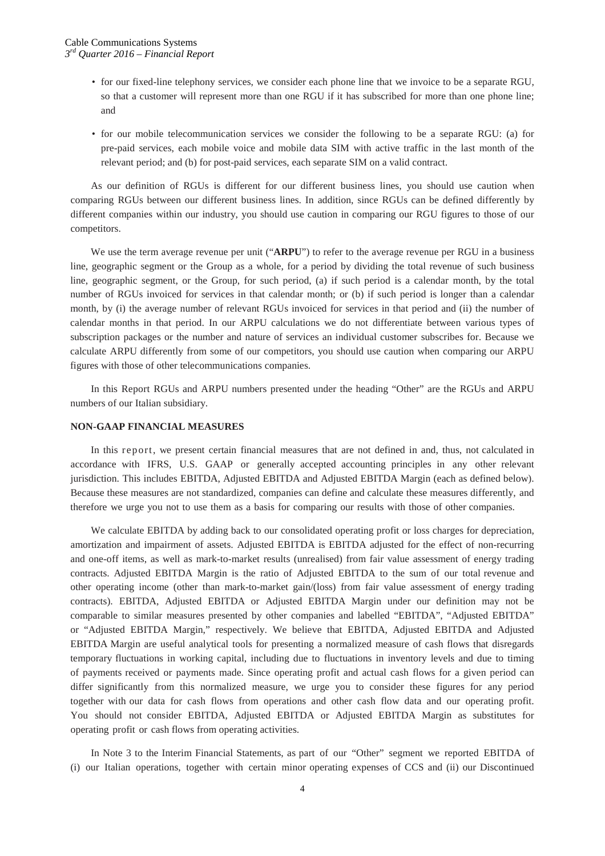- for our fixed-line telephony services, we consider each phone line that we invoice to be a separate RGU, so that a customer will represent more than one RGU if it has subscribed for more than one phone line; and
- for our mobile telecommunication services we consider the following to be a separate RGU: (a) for pre-paid services, each mobile voice and mobile data SIM with active traffic in the last month of the relevant period; and (b) for post-paid services, each separate SIM on a valid contract.

As our definition of RGUs is different for our different business lines, you should use caution when comparing RGUs between our different business lines. In addition, since RGUs can be defined differently by different companies within our industry, you should use caution in comparing our RGU figures to those of our competitors.

We use the term average revenue per unit ("ARPU") to refer to the average revenue per RGU in a business line, geographic segment or the Group as a whole, for a period by dividing the total revenue of such business line, geographic segment, or the Group, for such period, (a) if such period is a calendar month, by the total number of RGUs invoiced for services in that calendar month; or (b) if such period is longer than a calendar month, by (i) the average number of relevant RGUs invoiced for services in that period and (ii) the number of calendar months in that period. In our ARPU calculations we do not differentiate between various types of subscription packages or the number and nature of services an individual customer subscribes for. Because we calculate ARPU differently from some of our competitors, you should use caution when comparing our ARPU figures with those of other telecommunications companies.

In this Report RGUs and ARPU numbers presented under the heading "Other" are the RGUs and ARPU numbers of our Italian subsidiary.

#### **NON-GAAP FINANCIAL MEASURES**

In this report, we present certain financial measures that are not defined in and, thus, not calculated in accordance with IFRS, U.S. GAAP or generally accepted accounting principles in any other relevant jurisdiction. This includes EBITDA, Adjusted EBITDA and Adjusted EBITDA Margin (each as defined below). Because these measures are not standardized, companies can define and calculate these measures differently, and therefore we urge you not to use them as a basis for comparing our results with those of other companies.

We calculate EBITDA by adding back to our consolidated operating profit or loss charges for depreciation, amortization and impairment of assets. Adjusted EBITDA is EBITDA adjusted for the effect of non-recurring and one-off items, as well as mark-to-market results (unrealised) from fair value assessment of energy trading contracts. Adjusted EBITDA Margin is the ratio of Adjusted EBITDA to the sum of our total revenue and other operating income (other than mark-to-market gain/(loss) from fair value assessment of energy trading contracts). EBITDA, Adjusted EBITDA or Adjusted EBITDA Margin under our definition may not be comparable to similar measures presented by other companies and labelled "EBITDA", "Adjusted EBITDA" or "Adjusted EBITDA Margin," respectively. We believe that EBITDA, Adjusted EBITDA and Adjusted EBITDA Margin are useful analytical tools for presenting a normalized measure of cash flows that disregards temporary fluctuations in working capital, including due to fluctuations in inventory levels and due to timing of payments received or payments made. Since operating profit and actual cash flows for a given period can differ significantly from this normalized measure, we urge you to consider these figures for any period together with our data for cash flows from operations and other cash flow data and our operating profit. You should not consider EBITDA, Adjusted EBITDA or Adjusted EBITDA Margin as substitutes for operating profit or cash flows from operating activities.

In Note 3 to the Interim Financial Statements, as part of our "Other" segment we reported EBITDA of (i) our Italian operations, together with certain minor operating expenses of CCS and (ii) our Discontinued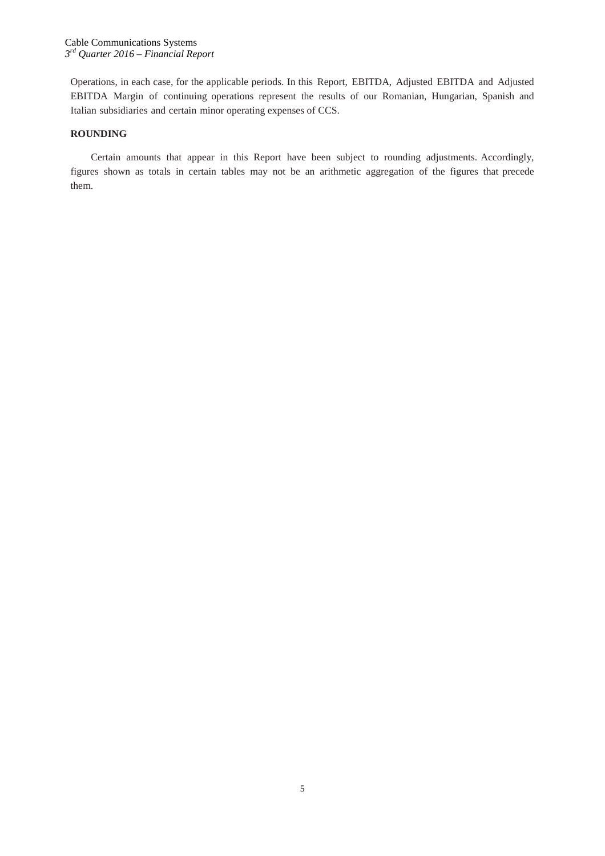Operations, in each case, for the applicable periods. In this Report, EBITDA, Adjusted EBITDA and Adjusted EBITDA Margin of continuing operations represent the results of our Romanian, Hungarian, Spanish and Italian subsidiaries and certain minor operating expenses of CCS.

## **ROUNDING**

Certain amounts that appear in this Report have been subject to rounding adjustments. Accordingly, figures shown as totals in certain tables may not be an arithmetic aggregation of the figures that precede them.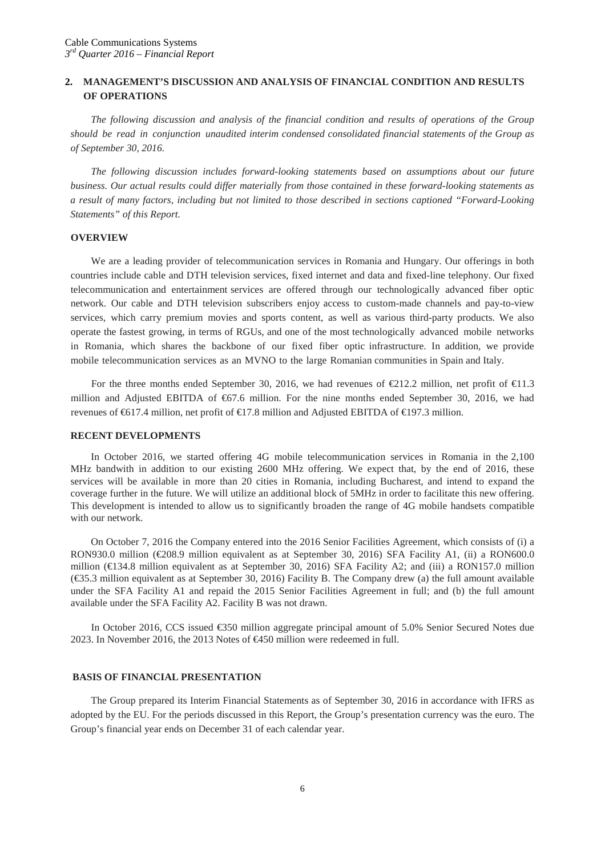## **2. MANAGEMENT'S DISCUSSION AND ANALYSIS OF FINANCIAL CONDITION AND RESULTS OF OPERATIONS**

*The following discussion and analysis of the financial condition and results of operations of the Group should be read in conjunction unaudited interim condensed consolidated financial statements of the Group as of September 30, 2016.*

*The following discussion includes forward-looking statements based on assumptions about our future business. Our actual results could differ materially from those contained in these forward-looking statements as a result of many factors, including but not limited to those described in sections captioned "Forward-Looking Statements" of this Report.*

## **OVERVIEW**

We are a leading provider of telecommunication services in Romania and Hungary. Our offerings in both countries include cable and DTH television services, fixed internet and data and fixed-line telephony. Our fixed telecommunication and entertainment services are offered through our technologically advanced fiber optic network. Our cable and DTH television subscribers enjoy access to custom-made channels and pay-to-view services, which carry premium movies and sports content, as well as various third-party products. We also operate the fastest growing, in terms of RGUs, and one of the most technologically advanced mobile networks in Romania, which shares the backbone of our fixed fiber optic infrastructure. In addition, we provide mobile telecommunication services as an MVNO to the large Romanian communities in Spain and Italy.

For the three months ended September 30, 2016, we had revenues of  $\epsilon 212.2$  million, net profit of  $\epsilon 1.3$ million and Adjusted EBITDA of  $667.6$  million. For the nine months ended September 30, 2016, we had revenues of €617.4 million, net profit of €17.8 million and Adjusted EBITDA of €197.3 million.

#### **RECENT DEVELOPMENTS**

In October 2016, we started offering 4G mobile telecommunication services in Romania in the 2,100 MHz bandwith in addition to our existing 2600 MHz offering. We expect that, by the end of 2016, these services will be available in more than 20 cities in Romania, including Bucharest, and intend to expand the coverage further in the future. We will utilize an additional block of 5MHz in order to facilitate this new offering. This development is intended to allow us to significantly broaden the range of 4G mobile handsets compatible with our network.

On October 7, 2016 the Company entered into the 2016 Senior Facilities Agreement, which consists of (i) a RON930.0 million (€208.9 million equivalent as at September 30, 2016) SFA Facility A1, (ii) a RON600.0 million ( $\in$  34.8 million equivalent as at September 30, 2016) SFA Facility A2; and (iii) a RON157.0 million (€35.3 million equivalent as at September 30, 2016) Facility B. The Company drew (a) the full amount available under the SFA Facility A1 and repaid the 2015 Senior Facilities Agreement in full; and (b) the full amount available under the SFA Facility A2. Facility B was not drawn.

In October 2016, CCS issued €350 million aggregate principal amount of 5.0% Senior Secured Notes due 2023. In November 2016, the 2013 Notes of €450 million were redeemed in full.

## **BASIS OF FINANCIAL PRESENTATION**

The Group prepared its Interim Financial Statements as of September 30, 2016 in accordance with IFRS as adopted by the EU. For the periods discussed in this Report, the Group's presentation currency was the euro. The Group's financial year ends on December 31 of each calendar year.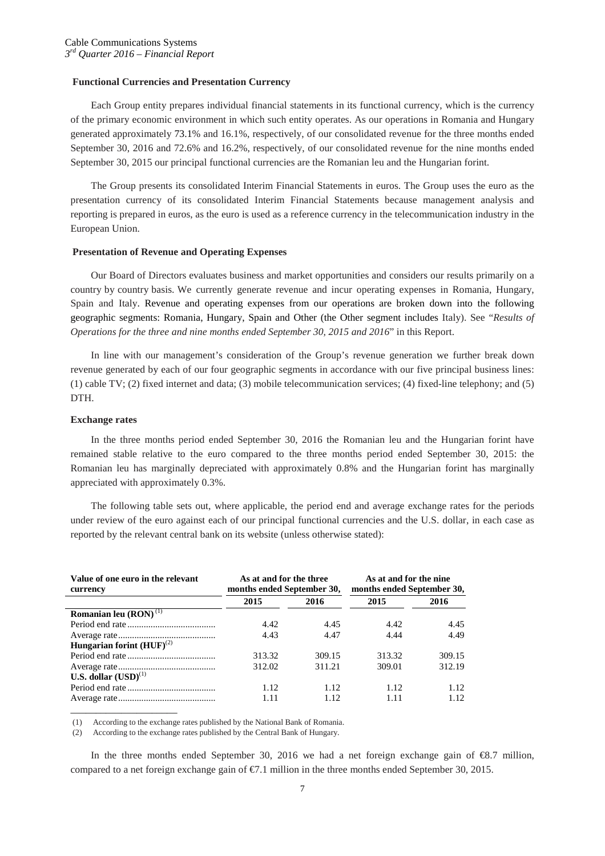#### **Functional Currencies and Presentation Currency**

Each Group entity prepares individual financial statements in its functional currency, which is the currency of the primary economic environment in which such entity operates. As our operations in Romania and Hungary generated approximately 73.1% and 16.1%, respectively, of our consolidated revenue for the three months ended September 30, 2016 and 72.6% and 16.2%, respectively, of our consolidated revenue for the nine months ended September 30, 2015 our principal functional currencies are the Romanian leu and the Hungarian forint.

The Group presents its consolidated Interim Financial Statements in euros. The Group uses the euro as the presentation currency of its consolidated Interim Financial Statements because management analysis and reporting is prepared in euros, as the euro is used as a reference currency in the telecommunication industry in the European Union.

## **Presentation of Revenue and Operating Expenses**

Our Board of Directors evaluates business and market opportunities and considers our results primarily on a country by country basis. We currently generate revenue and incur operating expenses in Romania, Hungary, Spain and Italy. Revenue and operating expenses from our operations are broken down into the following geographic segments: Romania, Hungary, Spain and Other (the Other segment includes Italy). See "*Results of Operations for the three and nine months ended September 30, 2015 and 2016*" in this Report.

In line with our management's consideration of the Group's revenue generation we further break down revenue generated by each of our four geographic segments in accordance with our five principal business lines: (1) cable TV; (2) fixed internet and data; (3) mobile telecommunication services; (4) fixed-line telephony; and (5) DTH.

#### **Exchange rates**

\_\_\_\_\_\_\_\_\_\_\_\_\_\_\_\_\_\_\_\_\_

In the three months period ended September 30, 2016 the Romanian leu and the Hungarian forint have remained stable relative to the euro compared to the three months period ended September 30, 2015: the Romanian leu has marginally depreciated with approximately 0.8% and the Hungarian forint has marginally appreciated with approximately 0.3%.

The following table sets out, where applicable, the period end and average exchange rates for the periods under review of the euro against each of our principal functional currencies and the U.S. dollar, in each case as reported by the relevant central bank on its website (unless otherwise stated):

| Value of one euro in the relevant<br>currency    | As at and for the three<br>months ended September 30, |        | As at and for the nine<br>months ended September 30, |        |  |
|--------------------------------------------------|-------------------------------------------------------|--------|------------------------------------------------------|--------|--|
|                                                  | 2015                                                  | 2016   | 2015                                                 | 2016   |  |
| Romanian leu $(RON)^{(1)}$                       |                                                       |        |                                                      |        |  |
|                                                  | 4.42                                                  | 4.45   | 4.42                                                 | 4.45   |  |
|                                                  | 4.43                                                  | 4.47   | 4.44                                                 | 4.49   |  |
| <b>Hungarian forint <math>(HUF)^{(2)}</math></b> |                                                       |        |                                                      |        |  |
|                                                  | 313.32                                                | 309.15 | 313.32                                               | 309.15 |  |
|                                                  | 312.02                                                | 311.21 | 309.01                                               | 312.19 |  |
| U.S. dollar $(USD)^{(1)}$                        |                                                       |        |                                                      |        |  |
|                                                  | 1.12                                                  | 1.12   | 1.12                                                 | 1.12   |  |
|                                                  | 1.11                                                  | 1.12   |                                                      | 1.12   |  |

(1) According to the exchange rates published by the National Bank of Romania.

(2) According to the exchange rates published by the Central Bank of Hungary.

In the three months ended September 30, 2016 we had a net foreign exchange gain of €8.7 million, compared to a net foreign exchange gain of €7.1 million in the three months ended September 30, 2015.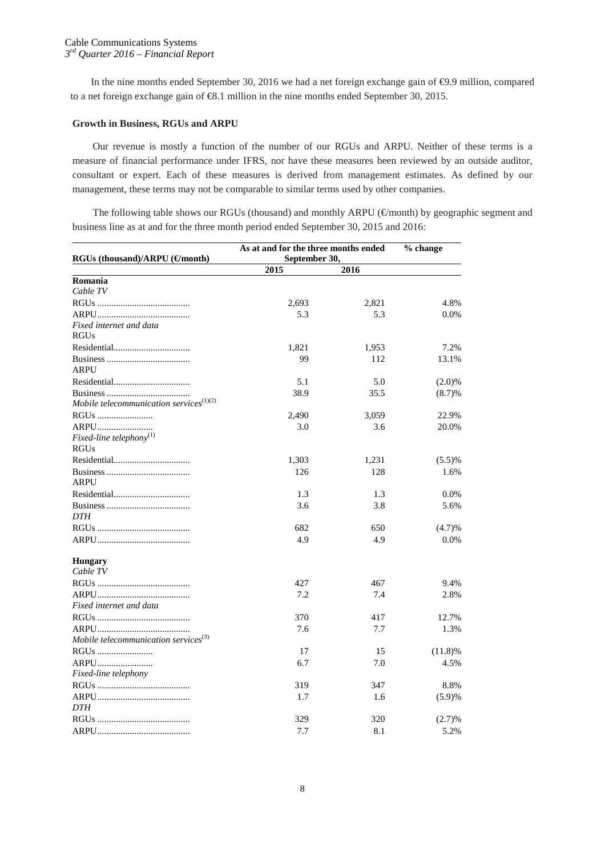In the nine months ended September 30, 2016 we had a net foreign exchange gain of €9.9 million, compared to a net foreign exchange gain of €8.1 million in the nine months ended September 30, 2015.

## **Growth in Business, RGUs and ARPU**

Our revenue is mostly a function of the number of our RGUs and ARPU. Neither of these terms is a measure of financial performance under IFRS, nor have these measures been reviewed by an outside auditor, consultant or expert. Each of these measures is derived from management estimates. As defined by our management, these terms may not be comparable to similar terms used by other companies.

The following table shows our RGUs (thousand) and monthly ARPU ( $\notin$ month) by geographic segment and business line as at and for the three month period ended September 30, 2015 and 2016:

|                                                  | As at and for the three months ended | % change |            |
|--------------------------------------------------|--------------------------------------|----------|------------|
| RGUs (thousand)/ARPU (€month)                    | September 30,                        |          |            |
|                                                  | 2015                                 | 2016     |            |
| Romania                                          |                                      |          |            |
| Cable TV                                         |                                      |          |            |
|                                                  | 2,693                                | 2,821    | 4.8%       |
|                                                  | 5.3                                  | 5.3      | $0.0\%$    |
| Fixed internet and data                          |                                      |          |            |
| <b>RGUs</b>                                      |                                      |          |            |
|                                                  | 1,821                                | 1,953    | 7.2%       |
| <b>ARPU</b>                                      | 99                                   | 112      | 13.1%      |
|                                                  | 5.1                                  | 5.0      | $(2.0)\%$  |
|                                                  | 38.9                                 | 35.5     | (8.7)%     |
| Mobile telecommunication services $(1)(2)$       |                                      |          |            |
| RGUs                                             | 2,490                                | 3,059    | 22.9%      |
| ARPU                                             | 3.0                                  | 3.6      | 20.0%      |
| Fixed-line telephony $(1)$                       |                                      |          |            |
| <b>RGUs</b>                                      |                                      |          |            |
|                                                  | 1,303                                | 1,231    | (5.5)%     |
|                                                  | 126                                  | 128      | 1.6%       |
| <b>ARPU</b>                                      |                                      |          |            |
|                                                  | 1.3                                  | 1.3      | 0.0%       |
|                                                  | 3.6                                  | 3.8      | 5.6%       |
| <b>DTH</b>                                       |                                      |          |            |
|                                                  | 682                                  | 650      | (4.7)%     |
|                                                  | 4.9                                  | 4.9      | $0.0\%$    |
| <b>Hungary</b><br>Cable TV                       |                                      |          |            |
|                                                  | 427                                  | 467      | 9.4%       |
|                                                  | 7.2                                  | 7.4      | 2.8%       |
| Fixed internet and data                          |                                      |          |            |
|                                                  | 370                                  | 417      | 12.7%      |
|                                                  | 7.6                                  | 7.7      | 1.3%       |
| Mobile telecommunication services <sup>(3)</sup> |                                      |          |            |
|                                                  | 17                                   | 15       | $(11.8)\%$ |
| ARPU                                             | 6.7                                  | 7.0      | 4.5%       |
| Fixed-line telephony                             |                                      |          |            |
|                                                  | 319                                  | 347      | 8.8%       |
|                                                  | 1.7                                  | 1.6      | (5.9)%     |
| <b>DTH</b>                                       |                                      |          |            |
|                                                  | 329                                  | 320      | (2.7)%     |
|                                                  | 7.7                                  | 8.1      | 5.2%       |
|                                                  |                                      |          |            |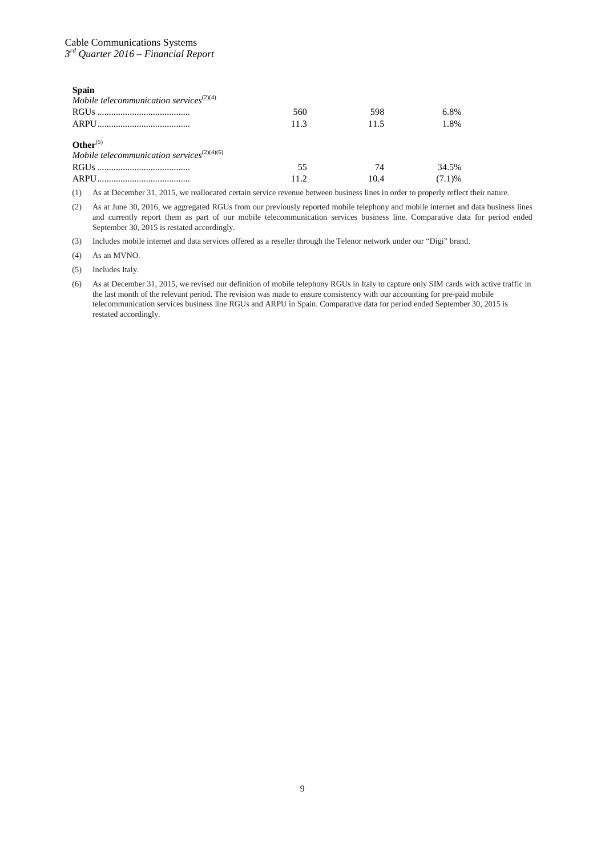| <b>Spain</b>                                                                       |           |            |                 |
|------------------------------------------------------------------------------------|-----------|------------|-----------------|
| Mobile telecommunication services <sup><math>(2)(4)</math></sup>                   |           |            |                 |
|                                                                                    | 560       | 598        | 6.8%            |
|                                                                                    | 11.3      | 11.5       | 1.8%            |
| Other $(5)$<br>Mobile telecommunication services <sup><math>(2)(4)(6)</math></sup> | 55<br>112 | 74<br>10.4 | 34.5%<br>(7.1)% |

(1) As at December 31, 2015, we reallocated certain service revenue between business lines in order to properly reflect their nature.

(2) As at June 30, 2016, we aggregated RGUs from our previously reported mobile telephony and mobile internet and data business lines and currently report them as part of our mobile telecommunication services business line. Comparative data for period ended September 30, 2015 is restated accordingly.

(3) Includes mobile internet and data services offered as a reseller through the Telenor network under our "Digi" brand.

(4) As an MVNO.

(5) Includes Italy.

(6) As at December 31, 2015, we revised our definition of mobile telephony RGUs in Italy to capture only SIM cards with active traffic in the last month of the relevant period. The revision was made to ensure consistency with our accounting for pre-paid mobile telecommunication services business line RGUs and ARPU in Spain. Comparative data for period ended September 30, 2015 is restated accordingly.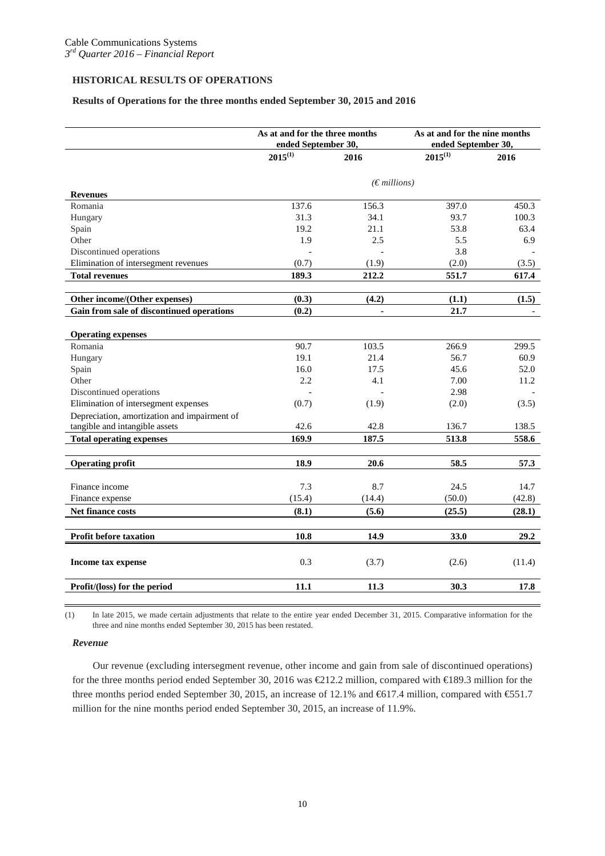## **HISTORICAL RESULTS OF OPERATIONS**

## **Results of Operations for the three months ended September 30, 2015 and 2016**

|                                              | As at and for the three months<br>ended September 30, |                       | As at and for the nine months<br>ended September 30, |        |  |
|----------------------------------------------|-------------------------------------------------------|-----------------------|------------------------------------------------------|--------|--|
|                                              | $2015^{(1)}$                                          | 2016                  | $2015^{(1)}$                                         | 2016   |  |
|                                              |                                                       | $(\epsilon$ millions) |                                                      |        |  |
| <b>Revenues</b>                              |                                                       |                       |                                                      |        |  |
| Romania                                      | 137.6                                                 | 156.3                 | 397.0                                                | 450.3  |  |
| Hungary                                      | 31.3                                                  | 34.1                  | 93.7                                                 | 100.3  |  |
| Spain                                        | 19.2                                                  | 21.1                  | 53.8                                                 | 63.4   |  |
| Other                                        | 1.9                                                   | 2.5                   | 5.5                                                  | 6.9    |  |
| Discontinued operations                      |                                                       |                       | 3.8                                                  |        |  |
| Elimination of intersegment revenues         | (0.7)                                                 | (1.9)                 | (2.0)                                                | (3.5)  |  |
| <b>Total revenues</b>                        | 189.3                                                 | 212.2                 | 551.7                                                | 617.4  |  |
| Other income/(Other expenses)                | (0.3)                                                 | (4.2)                 | (1.1)                                                | (1.5)  |  |
| Gain from sale of discontinued operations    | (0.2)                                                 | $\blacksquare$        | 21.7                                                 |        |  |
|                                              |                                                       |                       |                                                      |        |  |
| <b>Operating expenses</b>                    |                                                       |                       |                                                      |        |  |
| Romania                                      | 90.7                                                  | 103.5                 | 266.9                                                | 299.5  |  |
| Hungary                                      | 19.1                                                  | 21.4                  | 56.7                                                 | 60.9   |  |
| Spain                                        | 16.0                                                  | 17.5                  | 45.6                                                 | 52.0   |  |
| Other                                        | 2.2                                                   | 4.1                   | 7.00                                                 | 11.2   |  |
| Discontinued operations                      |                                                       |                       | 2.98                                                 |        |  |
| Elimination of intersegment expenses         | (0.7)                                                 | (1.9)                 | (2.0)                                                | (3.5)  |  |
| Depreciation, amortization and impairment of |                                                       |                       |                                                      |        |  |
| tangible and intangible assets               | 42.6                                                  | 42.8                  | 136.7                                                | 138.5  |  |
| <b>Total operating expenses</b>              | 169.9                                                 | 187.5                 | 513.8                                                | 558.6  |  |
| <b>Operating profit</b>                      | 18.9                                                  | 20.6                  | 58.5                                                 | 57.3   |  |
|                                              |                                                       |                       |                                                      |        |  |
| Finance income                               | 7.3                                                   | 8.7                   | 24.5                                                 | 14.7   |  |
| Finance expense                              | (15.4)                                                | (14.4)                | (50.0)                                               | (42.8) |  |
| Net finance costs                            | (8.1)                                                 | (5.6)                 | (25.5)                                               | (28.1) |  |
|                                              |                                                       |                       |                                                      |        |  |
| <b>Profit before taxation</b>                | 10.8                                                  | 14.9                  | 33.0                                                 | 29.2   |  |
| Income tax expense                           | 0.3                                                   | (3.7)                 | (2.6)                                                | (11.4) |  |
| Profit/(loss) for the period                 | 11.1                                                  | 11.3                  | 30.3                                                 | 17.8   |  |

(1) In late 2015, we made certain adjustments that relate to the entire year ended December 31, 2015. Comparative information for the three and nine months ended September 30, 2015 has been restated.

## *Revenue*

Our revenue (excluding intersegment revenue, other income and gain from sale of discontinued operations) for the three months period ended September 30, 2016 was €212.2 million, compared with €189.3 million for the three months period ended September 30, 2015, an increase of 12.1% and €617.4 million, compared with €551.7 million for the nine months period ended September 30, 2015, an increase of 11.9%.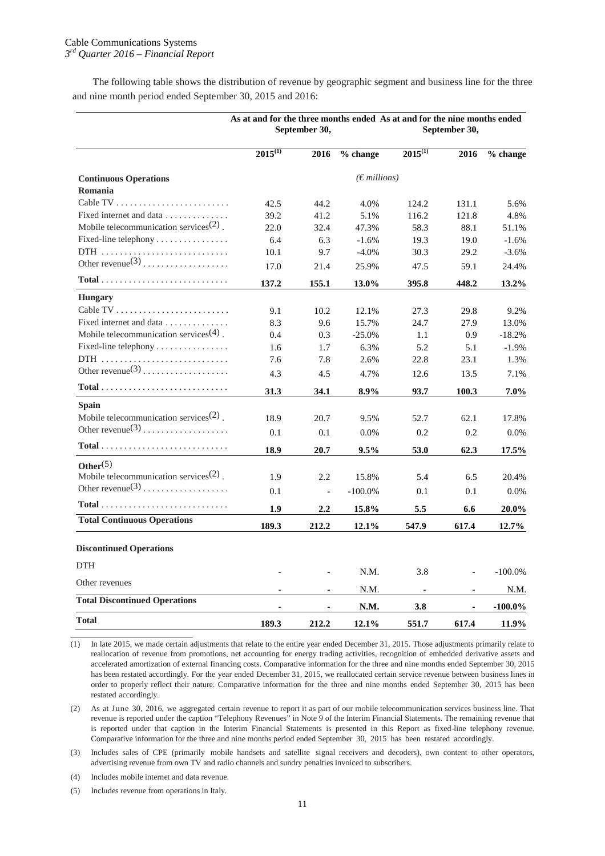## Cable Communications Systems *3rd Quarter 2016 – Financial Report*

The following table shows the distribution of revenue by geographic segment and business line for the three and nine month period ended September 30, 2015 and 2016:

|                                                                     |              | As at and for the three months ended As at and for the nine months ended<br>September 30,<br>September 30, |                       |                          |       |            |  |
|---------------------------------------------------------------------|--------------|------------------------------------------------------------------------------------------------------------|-----------------------|--------------------------|-------|------------|--|
|                                                                     | $2015^{(1)}$ | 2016                                                                                                       | % change              | $2015^{(1)}$             | 2016  | % change   |  |
| <b>Continuous Operations</b><br>Romania                             |              |                                                                                                            | $(\epsilon$ millions) |                          |       |            |  |
|                                                                     | 42.5         | 44.2                                                                                                       | 4.0%                  | 124.2                    | 131.1 | 5.6%       |  |
| Fixed internet and data                                             | 39.2         | 41.2                                                                                                       | 5.1%                  | 116.2                    | 121.8 | 4.8%       |  |
| Mobile telecommunication services <sup><math>(2)</math></sup> .     | 22.0         | 32.4                                                                                                       | 47.3%                 | 58.3                     | 88.1  | 51.1%      |  |
| Fixed-line telephony                                                | 6.4          | 6.3                                                                                                        | $-1.6%$               | 19.3                     | 19.0  | $-1.6%$    |  |
|                                                                     | 10.1         | 9.7                                                                                                        | $-4.0\%$              | 30.3                     | 29.2  | $-3.6%$    |  |
| Other revenue $(3)$                                                 | 17.0         | 21.4                                                                                                       | 25.9%                 | 47.5                     | 59.1  | 24.4%      |  |
| $Total \dots \dots \dots \dots \dots \dots \dots \dots \dots \dots$ | 137.2        | 155.1                                                                                                      | 13.0%                 | 395.8                    | 448.2 | 13.2%      |  |
| <b>Hungary</b>                                                      |              |                                                                                                            |                       |                          |       |            |  |
|                                                                     | 9.1          | 10.2                                                                                                       | 12.1%                 | 27.3                     | 29.8  | 9.2%       |  |
| Fixed internet and data                                             | 8.3          | 9.6                                                                                                        | 15.7%                 | 24.7                     | 27.9  | 13.0%      |  |
| Mobile telecommunication services <sup><math>(4)</math></sup> .     | 0.4          | 0.3                                                                                                        | $-25.0%$              | 1.1                      | 0.9   | $-18.2%$   |  |
| Fixed-line telephony                                                | 1.6          | 1.7                                                                                                        | 6.3%                  | 5.2                      | 5.1   | $-1.9%$    |  |
|                                                                     | 7.6          | 7.8                                                                                                        | 2.6%                  | 22.8                     | 23.1  | 1.3%       |  |
| Other revenue $(3)$                                                 | 4.3          | 4.5                                                                                                        | 4.7%                  | 12.6                     | 13.5  | 7.1%       |  |
| $Total \dots \dots \dots \dots \dots \dots \dots \dots \dots \dots$ | 31.3         | 34.1                                                                                                       | 8.9%                  | 93.7                     | 100.3 | 7.0%       |  |
| Spain                                                               |              |                                                                                                            |                       |                          |       |            |  |
| Mobile telecommunication services <sup><math>(2)</math></sup> .     | 18.9         | 20.7                                                                                                       | 9.5%                  | 52.7                     | 62.1  | 17.8%      |  |
| Other revenue $(3)$                                                 | 0.1          | 0.1                                                                                                        | 0.0%                  | 0.2                      | 0.2   | 0.0%       |  |
| $Total \dots \dots \dots \dots \dots \dots \dots \dots \dots \dots$ | 18.9         | 20.7                                                                                                       | 9.5%                  | 53.0                     | 62.3  | 17.5%      |  |
| Other $(5)$                                                         |              |                                                                                                            |                       |                          |       |            |  |
| Mobile telecommunication services $(2)$ .                           | 1.9          | 2.2                                                                                                        | 15.8%                 | 5.4                      | 6.5   | 20.4%      |  |
| Other revenue $(3)$                                                 | 0.1          | $\overline{\phantom{a}}$                                                                                   | $-100.0\%$            | 0.1                      | 0.1   | 0.0%       |  |
| $Total$                                                             | 1.9          | 2.2                                                                                                        | 15.8%                 | 5.5                      | 6.6   | $20.0\%$   |  |
| <b>Total Continuous Operations</b>                                  |              |                                                                                                            |                       |                          |       |            |  |
|                                                                     | 189.3        | 212.2                                                                                                      | 12.1%                 | 547.9                    | 617.4 | $12.7\%$   |  |
| <b>Discontinued Operations</b>                                      |              |                                                                                                            |                       |                          |       |            |  |
| <b>DTH</b>                                                          |              |                                                                                                            |                       |                          |       |            |  |
| Other revenues                                                      |              |                                                                                                            | N.M.                  | 3.8                      |       | $-100.0\%$ |  |
|                                                                     |              |                                                                                                            | N.M.                  | $\overline{\phantom{a}}$ |       | N.M.       |  |
| <b>Total Discontinued Operations</b>                                |              |                                                                                                            | N.M.                  | 3.8                      |       | $-100.0\%$ |  |
| <b>Total</b>                                                        | 189.3        | 212.2                                                                                                      | 12.1%                 | 551.7                    | 617.4 | 11.9%      |  |

(1) In late 2015, we made certain adjustments that relate to the entire year ended December 31, 2015. Those adjustments primarily relate to reallocation of revenue from promotions, net accounting for energy trading activities, recognition of embedded derivative assets and accelerated amortization of external financing costs. Comparative information for the three and nine months ended September 30, 2015 has been restated accordingly. For the year ended December 31, 2015, we reallocated certain service revenue between business lines in order to properly reflect their nature. Comparative information for the three and nine months ended September 30, 2015 has been restated accordingly.

(2) As at June 30, 2016, we aggregated certain revenue to report it as part of our mobile telecommunication services business line. That revenue is reported under the caption "Telephony Revenues" in Note 9 of the Interim Financial Statements. The remaining revenue that is reported under that caption in the Interim Financial Statements is presented in this Report as fixed-line telephony revenue. Comparative information for the three and nine months period ended September 30, 2015 has been restated accordingly.

(3) Includes sales of CPE (primarily mobile handsets and satellite signal receivers and decoders), own content to other operators, advertising revenue from own TV and radio channels and sundry penalties invoiced to subscribers.

(4) Includes mobile internet and data revenue.

(5) Includes revenue from operations in Italy.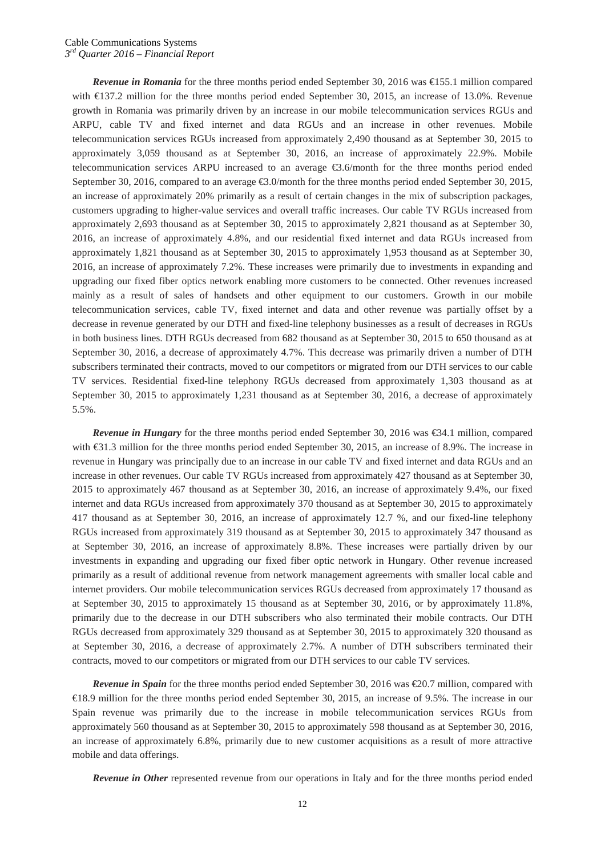*Revenue in Romania* for the three months period ended September 30, 2016 was €155.1 million compared with €137.2 million for the three months period ended September 30, 2015, an increase of 13.0%. Revenue growth in Romania was primarily driven by an increase in our mobile telecommunication services RGUs and ARPU, cable TV and fixed internet and data RGUs and an increase in other revenues. Mobile telecommunication services RGUs increased from approximately 2,490 thousand as at September 30, 2015 to approximately 3,059 thousand as at September 30, 2016, an increase of approximately 22.9%. Mobile telecommunication services ARPU increased to an average €3.6/month for the three months period ended September 30, 2016, compared to an average €3.0/month for the three months period ended September 30, 2015, an increase of approximately 20% primarily as a result of certain changes in the mix of subscription packages, customers upgrading to higher-value services and overall traffic increases. Our cable TV RGUs increased from approximately 2,693 thousand as at September 30, 2015 to approximately 2,821 thousand as at September 30, 2016, an increase of approximately 4.8%, and our residential fixed internet and data RGUs increased from approximately 1,821 thousand as at September 30, 2015 to approximately 1,953 thousand as at September 30, 2016, an increase of approximately 7.2%. These increases were primarily due to investments in expanding and upgrading our fixed fiber optics network enabling more customers to be connected. Other revenues increased mainly as a result of sales of handsets and other equipment to our customers. Growth in our mobile telecommunication services, cable TV, fixed internet and data and other revenue was partially offset by a decrease in revenue generated by our DTH and fixed-line telephony businesses as a result of decreases in RGUs in both business lines. DTH RGUs decreased from 682 thousand as at September 30, 2015 to 650 thousand as at September 30, 2016, a decrease of approximately 4.7%. This decrease was primarily driven a number of DTH subscribers terminated their contracts, moved to our competitors or migrated from our DTH services to our cable TV services. Residential fixed-line telephony RGUs decreased from approximately 1,303 thousand as at September 30, 2015 to approximately 1,231 thousand as at September 30, 2016, a decrease of approximately 5.5%.

*Revenue in Hungary* for the three months period ended September 30, 2016 was €34.1 million, compared with €31.3 million for the three months period ended September 30, 2015, an increase of 8.9%. The increase in revenue in Hungary was principally due to an increase in our cable TV and fixed internet and data RGUs and an increase in other revenues. Our cable TV RGUs increased from approximately 427 thousand as at September 30, 2015 to approximately 467 thousand as at September 30, 2016, an increase of approximately 9.4%, our fixed internet and data RGUs increased from approximately 370 thousand as at September 30, 2015 to approximately 417 thousand as at September 30, 2016, an increase of approximately 12.7 %, and our fixed-line telephony RGUs increased from approximately 319 thousand as at September 30, 2015 to approximately 347 thousand as at September 30, 2016, an increase of approximately 8.8%. These increases were partially driven by our investments in expanding and upgrading our fixed fiber optic network in Hungary. Other revenue increased primarily as a result of additional revenue from network management agreements with smaller local cable and internet providers. Our mobile telecommunication services RGUs decreased from approximately 17 thousand as at September 30, 2015 to approximately 15 thousand as at September 30, 2016, or by approximately 11.8%, primarily due to the decrease in our DTH subscribers who also terminated their mobile contracts. Our DTH RGUs decreased from approximately 329 thousand as at September 30, 2015 to approximately 320 thousand as at September 30, 2016, a decrease of approximately 2.7%. A number of DTH subscribers terminated their contracts, moved to our competitors or migrated from our DTH services to our cable TV services.

*Revenue in Spain* for the three months period ended September 30, 2016 was €20.7 million, compared with €18.9 million for the three months period ended September 30, 2015, an increase of 9.5%. The increase in our Spain revenue was primarily due to the increase in mobile telecommunication services RGUs from approximately 560 thousand as at September 30, 2015 to approximately 598 thousand as at September 30, 2016, an increase of approximately 6.8%, primarily due to new customer acquisitions as a result of more attractive mobile and data offerings.

*Revenue in Other* represented revenue from our operations in Italy and for the three months period ended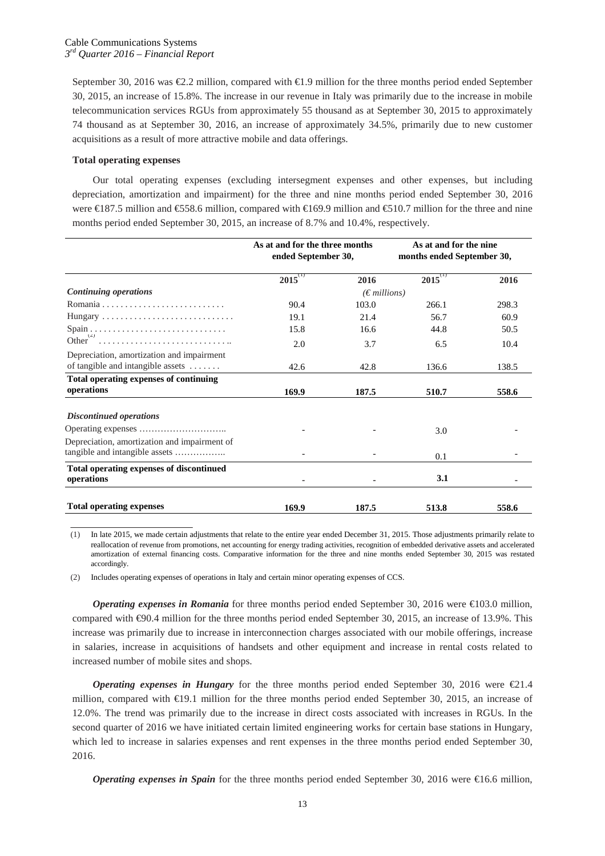September 30, 2016 was €2.2 million, compared with €1.9 million for the three months period ended September 30, 2015, an increase of 15.8%. The increase in our revenue in Italy was primarily due to the increase in mobile telecommunication services RGUs from approximately 55 thousand as at September 30, 2015 to approximately 74 thousand as at September 30, 2016, an increase of approximately 34.5%, primarily due to new customer acquisitions as a result of more attractive mobile and data offerings.

## **Total operating expenses**

Our total operating expenses (excluding intersegment expenses and other expenses, but including depreciation, amortization and impairment) for the three and nine months period ended September 30, 2016 were €187.5 million and €558.6 million, compared with €169.9 million and €510.7 million for the three and nine months period ended September 30, 2015, an increase of 8.7% and 10.4%, respectively.

|                                                        | As at and for the three months<br>ended September 30, |                       | As at and for the nine<br>months ended September 30, |       |
|--------------------------------------------------------|-------------------------------------------------------|-----------------------|------------------------------------------------------|-------|
|                                                        | $2015$ <sup>(1)</sup>                                 | 2016                  | $2015^{(1)}$                                         | 2016  |
| <b>Continuing operations</b>                           |                                                       | $(\epsilon$ millions) |                                                      |       |
|                                                        | 90.4                                                  | 103.0                 | 266.1                                                | 298.3 |
|                                                        | 19.1                                                  | 21.4                  | 56.7                                                 | 60.9  |
|                                                        | 15.8                                                  | 16.6                  | 44.8                                                 | 50.5  |
| Other <sup>`</sup>                                     | 2.0                                                   | 3.7                   | 6.5                                                  | 10.4  |
| Depreciation, amortization and impairment              |                                                       |                       |                                                      |       |
| of tangible and intangible assets                      | 42.6                                                  | 42.8                  | 136.6                                                | 138.5 |
| Total operating expenses of continuing                 |                                                       |                       |                                                      |       |
| operations                                             | 169.9                                                 | 187.5                 | 510.7                                                | 558.6 |
| <b>Discontinued operations</b>                         |                                                       |                       |                                                      |       |
|                                                        |                                                       |                       | 3.0                                                  |       |
| Depreciation, amortization and impairment of           |                                                       |                       |                                                      |       |
| tangible and intangible assets                         |                                                       |                       | 0.1                                                  |       |
| Total operating expenses of discontinued<br>operations |                                                       |                       | 3.1                                                  |       |
|                                                        |                                                       |                       |                                                      |       |
| <b>Total operating expenses</b>                        | 169.9                                                 | 187.5                 | 513.8                                                | 558.6 |

(1) In late 2015, we made certain adjustments that relate to the entire year ended December 31, 2015. Those adjustments primarily relate to reallocation of revenue from promotions, net accounting for energy trading activities, recognition of embedded derivative assets and accelerated amortization of external financing costs. Comparative information for the three and nine months ended September 30, 2015 was restated accordingly.

(2) Includes operating expenses of operations in Italy and certain minor operating expenses of CCS.

*Operating expenses in Romania* for three months period ended September 30, 2016 were €103.0 million, compared with €90.4 million for the three months period ended September 30, 2015, an increase of 13.9%. This increase was primarily due to increase in interconnection charges associated with our mobile offerings, increase in salaries, increase in acquisitions of handsets and other equipment and increase in rental costs related to increased number of mobile sites and shops.

*Operating expenses in Hungary* for the three months period ended September 30, 2016 were  $\epsilon$ 21.4 million, compared with €19.1 million for the three months period ended September 30, 2015, an increase of 12.0%. The trend was primarily due to the increase in direct costs associated with increases in RGUs. In the second quarter of 2016 we have initiated certain limited engineering works for certain base stations in Hungary, which led to increase in salaries expenses and rent expenses in the three months period ended September 30, 2016.

*Operating expenses in Spain* for the three months period ended September 30, 2016 were €16.6 million,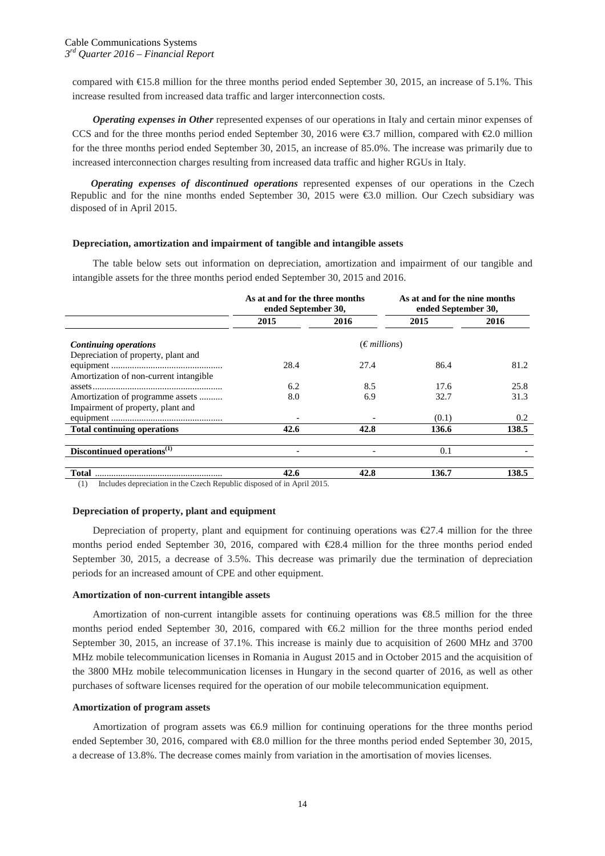compared with €15.8 million for the three months period ended September 30, 2015, an increase of 5.1%. This increase resulted from increased data traffic and larger interconnection costs.

*Operating expenses in Other* represented expenses of our operations in Italy and certain minor expenses of CCS and for the three months period ended September 30, 2016 were €3.7 million, compared with €2.0 million for the three months period ended September 30, 2015, an increase of 85.0%. The increase was primarily due to increased interconnection charges resulting from increased data traffic and higher RGUs in Italy.

*Operating expenses of discontinued operations* represented expenses of our operations in the Czech Republic and for the nine months ended September 30, 2015 were €3.0 million. Our Czech subsidiary was disposed of in April 2015.

## **Depreciation, amortization and impairment of tangible and intangible assets**

The table below sets out information on depreciation, amortization and impairment of our tangible and intangible assets for the three months period ended September 30, 2015 and 2016.

|                                                              | As at and for the three months<br>As at and for the nine months<br>ended September 30,<br>ended September 30, |                       |       |       |  |
|--------------------------------------------------------------|---------------------------------------------------------------------------------------------------------------|-----------------------|-------|-------|--|
|                                                              | 2015                                                                                                          | 2016                  | 2015  | 2016  |  |
| Continuing operations<br>Depreciation of property, plant and |                                                                                                               | $(\epsilon$ millions) |       |       |  |
|                                                              | 28.4                                                                                                          | 27.4                  | 86.4  | 81.2  |  |
| Amortization of non-current intangible                       |                                                                                                               |                       |       |       |  |
|                                                              | 6.2                                                                                                           | 8.5                   | 17.6  | 25.8  |  |
| Amortization of programme assets                             | 8.0                                                                                                           | 6.9                   | 32.7  | 31.3  |  |
| Impairment of property, plant and                            |                                                                                                               |                       |       |       |  |
|                                                              |                                                                                                               |                       | (0.1) | 0.2   |  |
| <b>Total continuing operations</b>                           | 42.6                                                                                                          | 42.8                  | 136.6 | 138.5 |  |
| Discontinued operations <sup>(1)</sup>                       |                                                                                                               |                       | 0.1   |       |  |
| <b>Total</b>                                                 | 42.6                                                                                                          | 42.8                  | 136.7 | 138.5 |  |

(1) Includes depreciation in the Czech Republic disposed of in April 2015.

## **Depreciation of property, plant and equipment**

Depreciation of property, plant and equipment for continuing operations was €27.4 million for the three months period ended September 30, 2016, compared with €28.4 million for the three months period ended September 30, 2015, a decrease of 3.5%. This decrease was primarily due the termination of depreciation periods for an increased amount of CPE and other equipment.

## **Amortization of non-current intangible assets**

Amortization of non-current intangible assets for continuing operations was €8.5 million for the three months period ended September 30, 2016, compared with  $66.2$  million for the three months period ended September 30, 2015, an increase of 37.1%. This increase is mainly due to acquisition of 2600 MHz and 3700 MHz mobile telecommunication licenses in Romania in August 2015 and in October 2015 and the acquisition of the 3800 MHz mobile telecommunication licenses in Hungary in the second quarter of 2016, as well as other purchases of software licenses required for the operation of our mobile telecommunication equipment.

## **Amortization of program assets**

Amortization of program assets was €6.9 million for continuing operations for the three months period ended September 30, 2016, compared with €8.0 million for the three months period ended September 30, 2015, a decrease of 13.8%. The decrease comes mainly from variation in the amortisation of movies licenses.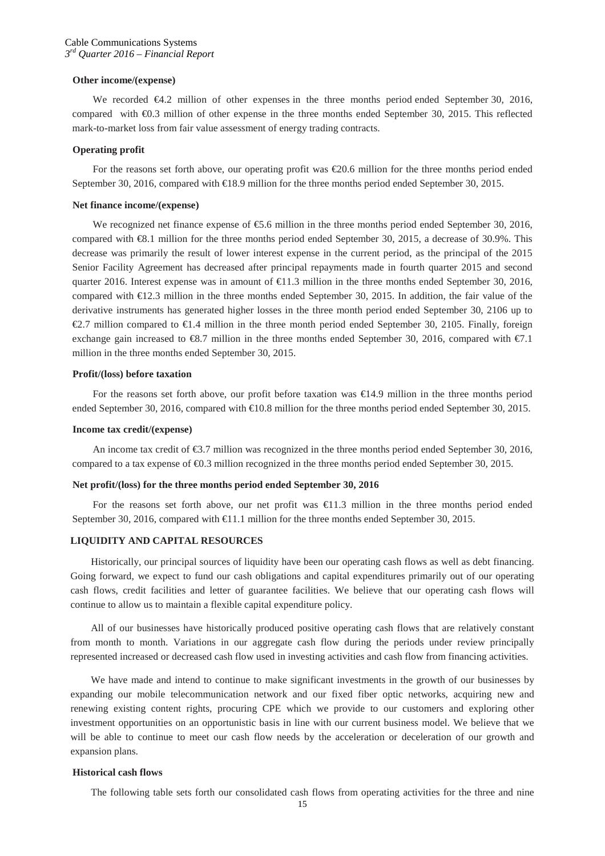## **Other income/(expense)**

We recorded €4.2 million of other expenses in the three months period ended September 30, 2016, compared with €0.3 million of other expense in the three months ended September 30, 2015. This reflected mark-to-market loss from fair value assessment of energy trading contracts.

#### **Operating profit**

For the reasons set forth above, our operating profit was €20.6 million for the three months period ended September 30, 2016, compared with €18.9 million for the three months period ended September 30, 2015.

#### **Net finance income/(expense)**

We recognized net finance expense of  $\epsilon$ 5.6 million in the three months period ended September 30, 2016, compared with €8.1 million for the three months period ended September 30, 2015, a decrease of 30.9%. This decrease was primarily the result of lower interest expense in the current period, as the principal of the 2015 Senior Facility Agreement has decreased after principal repayments made in fourth quarter 2015 and second quarter 2016. Interest expense was in amount of  $\in$ 1.3 million in the three months ended September 30, 2016, compared with €12.3 million in the three months ended September 30, 2015. In addition, the fair value of the derivative instruments has generated higher losses in the three month period ended September 30, 2106 up to €2.7 million compared to €1.4 million in the three month period ended September 30, 2105. Finally, foreign exchange gain increased to  $\mathfrak{S}3$ . million in the three months ended September 30, 2016, compared with  $\mathfrak{F}7.1$ million in the three months ended September 30, 2015.

## **Profit/(loss) before taxation**

For the reasons set forth above, our profit before taxation was €14.9 million in the three months period ended September 30, 2016, compared with €10.8 million for the three months period ended September 30, 2015.

#### **Income tax credit/(expense)**

An income tax credit of  $\epsilon$ 3.7 million was recognized in the three months period ended September 30, 2016, compared to a tax expense of €0.3 million recognized in the three months period ended September 30, 2015.

## **Net profit/(loss) for the three months period ended September 30, 2016**

For the reasons set forth above, our net profit was €11.3 million in the three months period ended September 30, 2016, compared with €1.1 million for the three months ended September 30, 2015.

## **LIQUIDITY AND CAPITAL RESOURCES**

Historically, our principal sources of liquidity have been our operating cash flows as well as debt financing. Going forward, we expect to fund our cash obligations and capital expenditures primarily out of our operating cash flows, credit facilities and letter of guarantee facilities. We believe that our operating cash flows will continue to allow us to maintain a flexible capital expenditure policy.

All of our businesses have historically produced positive operating cash flows that are relatively constant from month to month. Variations in our aggregate cash flow during the periods under review principally represented increased or decreased cash flow used in investing activities and cash flow from financing activities.

We have made and intend to continue to make significant investments in the growth of our businesses by expanding our mobile telecommunication network and our fixed fiber optic networks, acquiring new and renewing existing content rights, procuring CPE which we provide to our customers and exploring other investment opportunities on an opportunistic basis in line with our current business model. We believe that we will be able to continue to meet our cash flow needs by the acceleration or deceleration of our growth and expansion plans.

#### **Historical cash flows**

The following table sets forth our consolidated cash flows from operating activities for the three and nine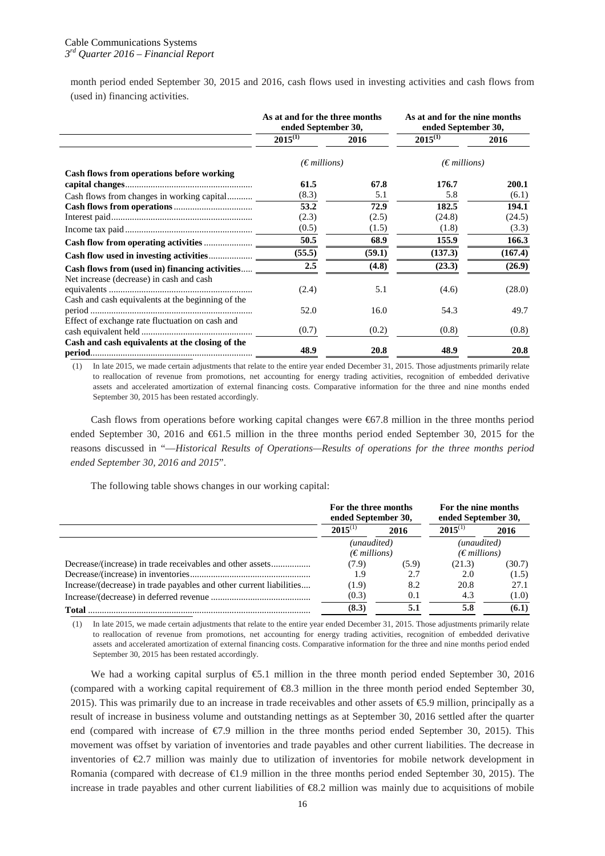month period ended September 30, 2015 and 2016, cash flows used in investing activities and cash flows from (used in) financing activities.

|                                                   | As at and for the three months<br>ended September 30, |        | As at and for the nine months<br>ended September 30, |         |
|---------------------------------------------------|-------------------------------------------------------|--------|------------------------------------------------------|---------|
|                                                   | $2015^{(1)}$                                          | 2016   | $2015^{(1)}$                                         | 2016    |
|                                                   | $(\epsilon$ millions)                                 |        | $(\epsilon$ millions)                                |         |
| Cash flows from operations before working         |                                                       |        |                                                      |         |
|                                                   | 61.5                                                  | 67.8   | 176.7                                                | 200.1   |
| Cash flows from changes in working capital        | (8.3)                                                 | 5.1    | 5.8                                                  | (6.1)   |
|                                                   | 53.2                                                  | 72.9   | 182.5                                                | 194.1   |
|                                                   | (2.3)                                                 | (2.5)  | (24.8)                                               | (24.5)  |
|                                                   | (0.5)                                                 | (1.5)  | (1.8)                                                | (3.3)   |
|                                                   | 50.5                                                  | 68.9   | 155.9                                                | 166.3   |
|                                                   | (55.5)                                                | (59.1) | (137.3)                                              | (167.4) |
| Cash flows from (used in) financing activities    | 2.5                                                   | (4.8)  | (23.3)                                               | (26.9)  |
| Net increase (decrease) in cash and cash          | (2.4)                                                 | 5.1    | (4.6)                                                | (28.0)  |
| Cash and cash equivalents at the beginning of the | 52.0                                                  | 16.0   | 54.3                                                 | 49.7    |
| Effect of exchange rate fluctuation on cash and   | (0.7)                                                 | (0.2)  | (0.8)                                                | (0.8)   |
| Cash and cash equivalents at the closing of the   | 48.9                                                  | 20.8   | 48.9                                                 | 20.8    |

(1) In late 2015, we made certain adjustments that relate to the entire year ended December 31, 2015. Those adjustments primarily relate to reallocation of revenue from promotions, net accounting for energy trading activities, recognition of embedded derivative assets and accelerated amortization of external financing costs. Comparative information for the three and nine months ended September 30, 2015 has been restated accordingly.

Cash flows from operations before working capital changes were €67.8 million in the three months period ended September 30, 2016 and €61.5 million in the three months period ended September 30, 2015 for the reasons discussed in "—*Historical Results of Operations—Results of operations for the three months period ended September 30, 2016 and 2015*".

The following table shows changes in our working capital:

|                                                                     | For the three months<br>ended September 30, |       | For the nine months<br>ended September 30, |        |
|---------------------------------------------------------------------|---------------------------------------------|-------|--------------------------------------------|--------|
|                                                                     | $2015^{(1)}$                                | 2016  | $2015^{(1)}$                               | 2016   |
|                                                                     | (unaudited)                                 |       | (unaudited)                                |        |
|                                                                     | $(\epsilon$ millions)                       |       | $(\epsilon$ millions)                      |        |
|                                                                     | (7.9)                                       | (5.9) | (21.3)                                     | (30.7) |
|                                                                     | 1.9                                         | 2.7   | 2.0                                        | (1.5)  |
| Increase/(decrease) in trade payables and other current liabilities | (1.9)                                       | 8.2   | 20.8                                       | 27.1   |
|                                                                     | (0.3)                                       | 0.1   | 4.3                                        | (1.0)  |
| <b>Total</b>                                                        | (8.3)                                       | 5.1   | 5.8                                        | (6.1)  |

(1) In late 2015, we made certain adjustments that relate to the entire year ended December 31, 2015. Those adjustments primarily relate to reallocation of revenue from promotions, net accounting for energy trading activities, recognition of embedded derivative assets and accelerated amortization of external financing costs. Comparative information for the three and nine months period ended September 30, 2015 has been restated accordingly.

We had a working capital surplus of €5.1 million in the three month period ended September 30, 2016 (compared with a working capital requirement of €8.3 million in the three month period ended September 30, 2015). This was primarily due to an increase in trade receivables and other assets of €5.9 million, principally as a result of increase in business volume and outstanding nettings as at September 30, 2016 settled after the quarter end (compared with increase of €7.9 million in the three months period ended September 30, 2015). This movement was offset by variation of inventories and trade payables and other current liabilities. The decrease in inventories of €2.7 million was mainly due to utilization of inventories for mobile network development in Romania (compared with decrease of €1.9 million in the three months period ended September 30, 2015). The increase in trade payables and other current liabilities of  $\epsilon 8.2$  million was mainly due to acquisitions of mobile